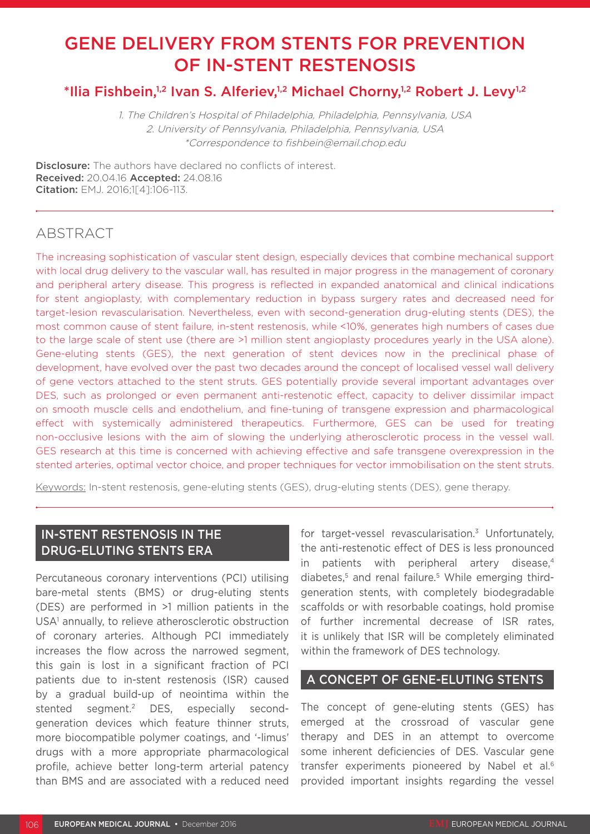# GENE DELIVERY FROM STENTS FOR PREVENTION OF IN-STENT RESTENOSIS

## \*Ilia Fishbein,<sup>1,2</sup> Ivan S. Alferiev,<sup>1,2</sup> Michael Chorny,<sup>1,2</sup> Robert J. Levy<sup>1,2</sup>

1. The Children's Hospital of Philadelphia, Philadelphia, Pennsylvania, USA 2. University of Pennsylvania, Philadelphia, Pennsylvania, USA \*Correspondence to fishbein@email.chop.edu

**Disclosure:** The authors have declared no conflicts of interest. Received: 20.04.16 Accepted: 24.08.16 Citation: EMJ. 2016;1[4]:106-113.

### ABSTRACT

The increasing sophistication of vascular stent design, especially devices that combine mechanical support with local drug delivery to the vascular wall, has resulted in major progress in the management of coronary and peripheral artery disease. This progress is reflected in expanded anatomical and clinical indications for stent angioplasty, with complementary reduction in bypass surgery rates and decreased need for target-lesion revascularisation. Nevertheless, even with second-generation drug-eluting stents (DES), the most common cause of stent failure, in-stent restenosis, while <10%, generates high numbers of cases due to the large scale of stent use (there are >1 million stent angioplasty procedures yearly in the USA alone). Gene-eluting stents (GES), the next generation of stent devices now in the preclinical phase of development, have evolved over the past two decades around the concept of localised vessel wall delivery of gene vectors attached to the stent struts. GES potentially provide several important advantages over DES, such as prolonged or even permanent anti-restenotic effect, capacity to deliver dissimilar impact on smooth muscle cells and endothelium, and fine-tuning of transgene expression and pharmacological effect with systemically administered therapeutics. Furthermore, GES can be used for treating non-occlusive lesions with the aim of slowing the underlying atherosclerotic process in the vessel wall. GES research at this time is concerned with achieving effective and safe transgene overexpression in the stented arteries, optimal vector choice, and proper techniques for vector immobilisation on the stent struts.

Keywords: In-stent restenosis, gene-eluting stents (GES), drug-eluting stents (DES), gene therapy.

#### IN-STENT RESTENOSIS IN THE DRUG-ELUTING STENTS ERA

Percutaneous coronary interventions (PCI) utilising bare-metal stents (BMS) or drug-eluting stents (DES) are performed in >1 million patients in the USA<sup>1</sup> annually, to relieve atherosclerotic obstruction of coronary arteries. Although PCI immediately increases the flow across the narrowed segment, this gain is lost in a significant fraction of PCI patients due to in-stent restenosis (ISR) caused by a gradual build-up of neointima within the stented segment.2 DES, especially secondgeneration devices which feature thinner struts, more biocompatible polymer coatings, and '-limus' drugs with a more appropriate pharmacological profile, achieve better long-term arterial patency than BMS and are associated with a reduced need

for target-vessel revascularisation.<sup>3</sup> Unfortunately, the anti-restenotic effect of DES is less pronounced in patients with peripheral artery disease,<sup>4</sup> diabetes,<sup>5</sup> and renal failure.<sup>5</sup> While emerging thirdgeneration stents, with completely biodegradable scaffolds or with resorbable coatings, hold promise of further incremental decrease of ISR rates, it is unlikely that ISR will be completely eliminated within the framework of DES technology.

#### A CONCEPT OF GENE-ELUTING STENTS

The concept of gene-eluting stents (GES) has emerged at the crossroad of vascular gene therapy and DES in an attempt to overcome some inherent deficiencies of DES. Vascular gene transfer experiments pioneered by Nabel et al.6 provided important insights regarding the vessel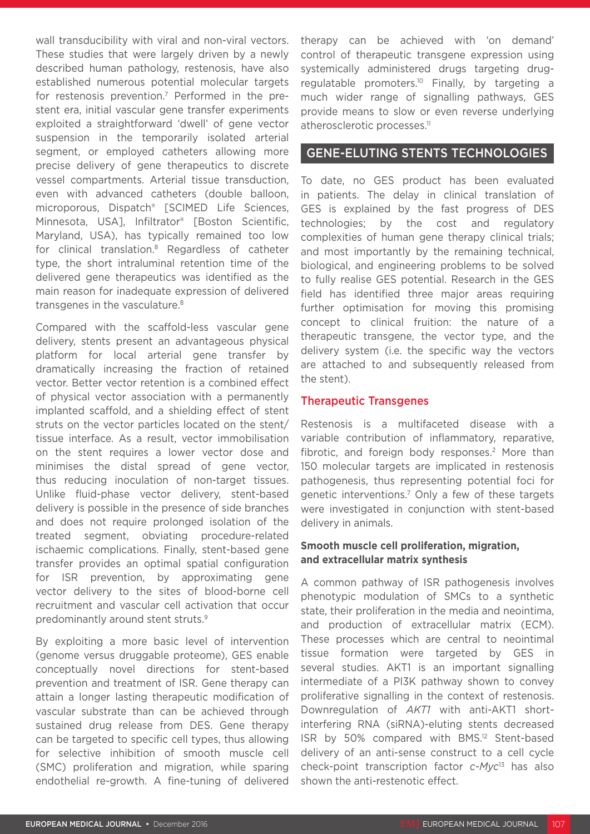wall transducibility with viral and non-viral vectors. These studies that were largely driven by a newly described human pathology, restenosis, have also established numerous potential molecular targets for restenosis prevention.7 Performed in the prestent era, initial vascular gene transfer experiments exploited a straightforward 'dwell' of gene vector suspension in the temporarily isolated arterial segment, or employed catheters allowing more precise delivery of gene therapeutics to discrete vessel compartments. Arterial tissue transduction, even with advanced catheters (double balloon, microporous, Dispatch® [SCIMED Life Sciences, Minnesota, USA], Infiltrator® [Boston Scientific, Maryland, USA), has typically remained too low for clinical translation.8 Regardless of catheter type, the short intraluminal retention time of the delivered gene therapeutics was identified as the main reason for inadequate expression of delivered transgenes in the vasculature.8

Compared with the scaffold-less vascular gene delivery, stents present an advantageous physical platform for local arterial gene transfer by dramatically increasing the fraction of retained vector. Better vector retention is a combined effect of physical vector association with a permanently implanted scaffold, and a shielding effect of stent struts on the vector particles located on the stent/ tissue interface. As a result, vector immobilisation on the stent requires a lower vector dose and minimises the distal spread of gene vector, thus reducing inoculation of non-target tissues. Unlike fluid-phase vector delivery, stent-based delivery is possible in the presence of side branches and does not require prolonged isolation of the treated segment, obviating procedure-related ischaemic complications. Finally, stent-based gene transfer provides an optimal spatial configuration for ISR prevention, by approximating gene vector delivery to the sites of blood-borne cell recruitment and vascular cell activation that occur predominantly around stent struts.9

By exploiting a more basic level of intervention (genome versus druggable proteome), GES enable conceptually novel directions for stent-based prevention and treatment of ISR. Gene therapy can attain a longer lasting therapeutic modification of vascular substrate than can be achieved through sustained drug release from DES. Gene therapy can be targeted to specific cell types, thus allowing for selective inhibition of smooth muscle cell (SMC) proliferation and migration, while sparing endothelial re-growth. A fine-tuning of delivered

therapy can be achieved with 'on demand' control of therapeutic transgene expression using systemically administered drugs targeting drugregulatable promoters.<sup>10</sup> Finally, by targeting a much wider range of signalling pathways, GES provide means to slow or even reverse underlying atherosclerotic processes.<sup>11</sup>

### GENE-ELUTING STENTS TECHNOLOGIES

To date, no GES product has been evaluated in patients. The delay in clinical translation of GES is explained by the fast progress of DES technologies; by the cost and regulatory complexities of human gene therapy clinical trials; and most importantly by the remaining technical, biological, and engineering problems to be solved to fully realise GES potential. Research in the GES field has identified three major areas requiring further optimisation for moving this promising concept to clinical fruition: the nature of a therapeutic transgene, the vector type, and the delivery system (i.e. the specific way the vectors are attached to and subsequently released from the stent).

#### Therapeutic Transgenes

Restenosis is a multifaceted disease with a variable contribution of inflammatory, reparative, fibrotic, and foreign body responses.<sup>2</sup> More than 150 molecular targets are implicated in restenosis pathogenesis, thus representing potential foci for genetic interventions.7 Only a few of these targets were investigated in conjunction with stent-based delivery in animals.

#### **Smooth muscle cell proliferation, migration, and extracellular matrix synthesis**

A common pathway of ISR pathogenesis involves phenotypic modulation of SMCs to a synthetic state, their proliferation in the media and neointima, and production of extracellular matrix (ECM). These processes which are central to neointimal tissue formation were targeted by GES in several studies. AKT1 is an important signalling intermediate of a PI3K pathway shown to convey proliferative signalling in the context of restenosis. Downregulation of *AKT1* with anti-AKT1 shortinterfering RNA (siRNA)-eluting stents decreased ISR by 50% compared with BMS.12 Stent-based delivery of an anti-sense construct to a cell cycle check-point transcription factor *c-Myc*13 has also shown the anti-restenotic effect.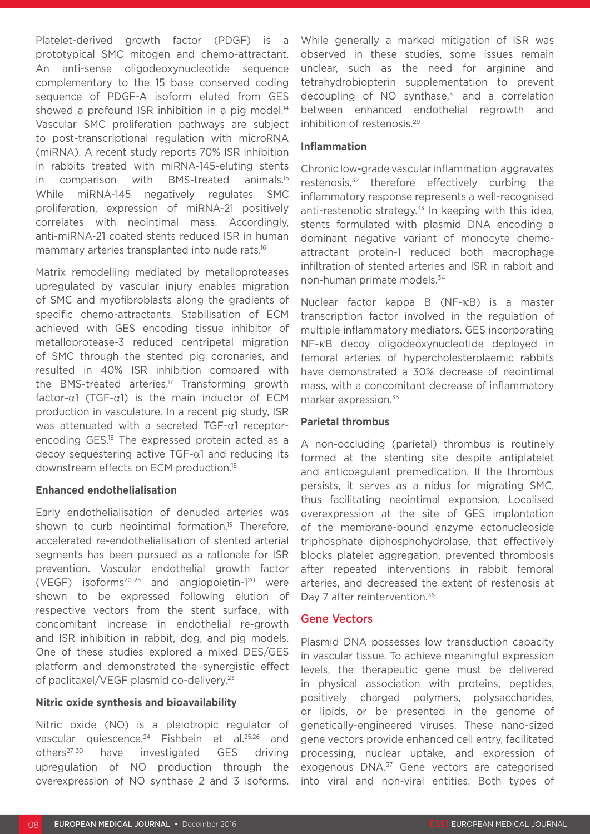Platelet-derived growth factor (PDGF) is a prototypical SMC mitogen and chemo-attractant. An anti-sense oligodeoxynucleotide sequence complementary to the 15 base conserved coding sequence of PDGF-A isoform eluted from GES showed a profound ISR inhibition in a pig model.<sup>14</sup> Vascular SMC proliferation pathways are subject to post-transcriptional regulation with microRNA (miRNA). A recent study reports 70% ISR inhibition in rabbits treated with miRNA-145-eluting stents in comparison with BMS-treated animals.15 While miRNA-145 negatively regulates SMC proliferation, expression of miRNA-21 positively correlates with neointimal mass. Accordingly, anti-miRNA-21 coated stents reduced ISR in human mammary arteries transplanted into nude rats.<sup>16</sup>

Matrix remodelling mediated by metalloproteases upregulated by vascular injury enables migration of SMC and myofibroblasts along the gradients of specific chemo-attractants. Stabilisation of ECM achieved with GES encoding tissue inhibitor of metalloprotease-3 reduced centripetal migration of SMC through the stented pig coronaries, and resulted in 40% ISR inhibition compared with the BMS-treated arteries.<sup>17</sup> Transforming growth factor-α1 (TGF-α1) is the main inductor of ECM production in vasculature. In a recent pig study, ISR was attenuated with a secreted TGF-α1 receptorencoding GES.18 The expressed protein acted as a decoy sequestering active TGF-α1 and reducing its downstream effects on ECM production.18

#### **Enhanced endothelialisation**

Early endothelialisation of denuded arteries was shown to curb neointimal formation.<sup>19</sup> Therefore, accelerated re-endothelialisation of stented arterial segments has been pursued as a rationale for ISR prevention. Vascular endothelial growth factor (VEGF) isoforms<sup>20-23</sup> and angiopoietin- $1^{20}$  were shown to be expressed following elution of respective vectors from the stent surface, with concomitant increase in endothelial re-growth and ISR inhibition in rabbit, dog, and pig models. One of these studies explored a mixed DES/GES platform and demonstrated the synergistic effect of paclitaxel/VEGF plasmid co-delivery.23

#### **Nitric oxide synthesis and bioavailability**

Nitric oxide (NO) is a pleiotropic regulator of vascular quiescence.<sup>24</sup> Fishbein et al.<sup>25,26</sup> and others27-30 have investigated GES driving upregulation of NO production through the overexpression of NO synthase 2 and 3 isoforms. While generally a marked mitigation of ISR was observed in these studies, some issues remain unclear, such as the need for arginine and tetrahydrobiopterin supplementation to prevent decoupling of  $NO$  synthase, $31$  and a correlation between enhanced endothelial regrowth and inhibition of restenosis.29

#### **Inflammation**

Chronic low-grade vascular inflammation aggravates restenosis,32 therefore effectively curbing the inflammatory response represents a well-recognised anti-restenotic strategy. $33$  In keeping with this idea, stents formulated with plasmid DNA encoding a dominant negative variant of monocyte chemoattractant protein-1 reduced both macrophage infiltration of stented arteries and ISR in rabbit and non-human primate models.34

Nuclear factor kappa B (NF-κB) is a master transcription factor involved in the regulation of multiple inflammatory mediators. GES incorporating NF-κB decoy oligodeoxynucleotide deployed in femoral arteries of hypercholesterolaemic rabbits have demonstrated a 30% decrease of neointimal mass, with a concomitant decrease of inflammatory marker expression.35

#### **Parietal thrombus**

A non-occluding (parietal) thrombus is routinely formed at the stenting site despite antiplatelet and anticoagulant premedication. If the thrombus persists, it serves as a nidus for migrating SMC, thus facilitating neointimal expansion. Localised overexpression at the site of GES implantation of the membrane-bound enzyme ectonucleoside triphosphate diphosphohydrolase, that effectively blocks platelet aggregation, prevented thrombosis after repeated interventions in rabbit femoral arteries, and decreased the extent of restenosis at Day 7 after reintervention.<sup>36</sup>

#### Gene Vectors

Plasmid DNA possesses low transduction capacity in vascular tissue. To achieve meaningful expression levels, the therapeutic gene must be delivered in physical association with proteins, peptides, positively charged polymers, polysaccharides, or lipids, or be presented in the genome of genetically-engineered viruses. These nano-sized gene vectors provide enhanced cell entry, facilitated processing, nuclear uptake, and expression of exogenous DNA.<sup>37</sup> Gene vectors are categorised into viral and non-viral entities. Both types of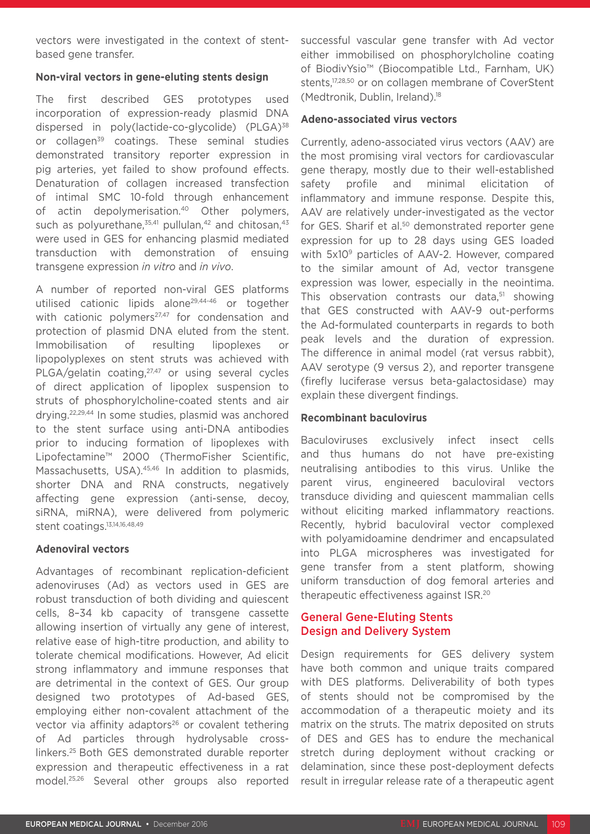vectors were investigated in the context of stentbased gene transfer.

#### **Non-viral vectors in gene-eluting stents design**

The first described GES prototypes used incorporation of expression-ready plasmid DNA dispersed in poly(lactide-co-glycolide) (PLGA)<sup>38</sup> or collagen<sup>39</sup> coatings. These seminal studies demonstrated transitory reporter expression in pig arteries, yet failed to show profound effects. Denaturation of collagen increased transfection of intimal SMC 10-fold through enhancement of actin depolymerisation.40 Other polymers, such as polyurethane, $35,41$  pullulan, $42$  and chitosan, $43$ were used in GES for enhancing plasmid mediated transduction with demonstration of ensuing transgene expression *in vitro* and *in vivo*.

A number of reported non-viral GES platforms utilised cationic lipids alone29,44-46 or together with cationic polymers<sup>27,47</sup> for condensation and protection of plasmid DNA eluted from the stent. Immobilisation of resulting lipoplexes or lipopolyplexes on stent struts was achieved with PLGA/gelatin coating, <sup>27,47</sup> or using several cycles of direct application of lipoplex suspension to struts of phosphorylcholine-coated stents and air drying.22,29,44 In some studies, plasmid was anchored to the stent surface using anti-DNA antibodies prior to inducing formation of lipoplexes with Lipofectamine™ 2000 (ThermoFisher Scientific, Massachusetts, USA).<sup>45,46</sup> In addition to plasmids, shorter DNA and RNA constructs, negatively affecting gene expression (anti-sense, decoy, siRNA, miRNA), were delivered from polymeric stent coatings.<sup>13,14,16,48,49</sup>

#### **Adenoviral vectors**

Advantages of recombinant replication-deficient adenoviruses (Ad) as vectors used in GES are robust transduction of both dividing and quiescent cells, 8–34 kb capacity of transgene cassette allowing insertion of virtually any gene of interest, relative ease of high-titre production, and ability to tolerate chemical modifications. However, Ad elicit strong inflammatory and immune responses that are detrimental in the context of GES. Our group designed two prototypes of Ad-based GES, employing either non-covalent attachment of the vector via affinity adaptors<sup>26</sup> or covalent tethering of Ad particles through hydrolysable crosslinkers.25 Both GES demonstrated durable reporter expression and therapeutic effectiveness in a rat model.25,26 Several other groups also reported

successful vascular gene transfer with Ad vector either immobilised on phosphorylcholine coating of BiodivYsio™ (Biocompatible Ltd., Farnham, UK) stents,<sup>17,28,50</sup> or on collagen membrane of CoverStent (Medtronik, Dublin, Ireland).18

#### **Adeno-associated virus vectors**

Currently, adeno-associated virus vectors (AAV) are the most promising viral vectors for cardiovascular gene therapy, mostly due to their well-established safety profile and minimal elicitation of inflammatory and immune response. Despite this, AAV are relatively under-investigated as the vector for GES. Sharif et al.<sup>50</sup> demonstrated reporter gene expression for up to 28 days using GES loaded with 5x10<sup>9</sup> particles of AAV-2. However, compared to the similar amount of Ad, vector transgene expression was lower, especially in the neointima. This observation contrasts our data,<sup>51</sup> showing that GES constructed with AAV-9 out-performs the Ad-formulated counterparts in regards to both peak levels and the duration of expression. The difference in animal model (rat versus rabbit), AAV serotype (9 versus 2), and reporter transgene (firefly luciferase versus beta-galactosidase) may explain these divergent findings.

#### **Recombinant baculovirus**

Baculoviruses exclusively infect insect cells and thus humans do not have pre-existing neutralising antibodies to this virus. Unlike the parent virus, engineered baculoviral vectors transduce dividing and quiescent mammalian cells without eliciting marked inflammatory reactions. Recently, hybrid baculoviral vector complexed with polyamidoamine dendrimer and encapsulated into PLGA microspheres was investigated for gene transfer from a stent platform, showing uniform transduction of dog femoral arteries and therapeutic effectiveness against ISR.20

#### General Gene-Eluting Stents Design and Delivery System

Design requirements for GES delivery system have both common and unique traits compared with DES platforms. Deliverability of both types of stents should not be compromised by the accommodation of a therapeutic moiety and its matrix on the struts. The matrix deposited on struts of DES and GES has to endure the mechanical stretch during deployment without cracking or delamination, since these post-deployment defects result in irregular release rate of a therapeutic agent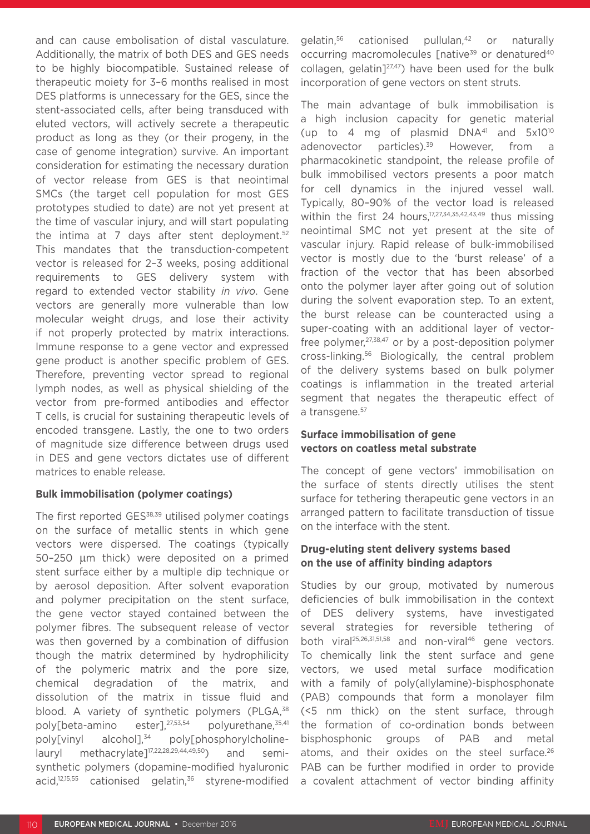and can cause embolisation of distal vasculature. Additionally, the matrix of both DES and GES needs to be highly biocompatible. Sustained release of therapeutic moiety for 3–6 months realised in most DES platforms is unnecessary for the GES, since the stent-associated cells, after being transduced with eluted vectors, will actively secrete a therapeutic product as long as they (or their progeny, in the case of genome integration) survive. An important consideration for estimating the necessary duration of vector release from GES is that neointimal SMCs (the target cell population for most GES prototypes studied to date) are not yet present at the time of vascular injury, and will start populating the intima at 7 days after stent deployment. $52$ This mandates that the transduction-competent vector is released for 2–3 weeks, posing additional requirements to GES delivery system with regard to extended vector stability *in vivo*. Gene vectors are generally more vulnerable than low molecular weight drugs, and lose their activity if not properly protected by matrix interactions. Immune response to a gene vector and expressed gene product is another specific problem of GES. Therefore, preventing vector spread to regional lymph nodes, as well as physical shielding of the vector from pre-formed antibodies and effector T cells, is crucial for sustaining therapeutic levels of encoded transgene. Lastly, the one to two orders of magnitude size difference between drugs used in DES and gene vectors dictates use of different matrices to enable release.

#### **Bulk immobilisation (polymer coatings)**

The first reported GES<sup>38,39</sup> utilised polymer coatings on the surface of metallic stents in which gene vectors were dispersed. The coatings (typically 50–250 µm thick) were deposited on a primed stent surface either by a multiple dip technique or by aerosol deposition. After solvent evaporation and polymer precipitation on the stent surface, the gene vector stayed contained between the polymer fibres. The subsequent release of vector was then governed by a combination of diffusion though the matrix determined by hydrophilicity of the polymeric matrix and the pore size, chemical degradation of the matrix, and dissolution of the matrix in tissue fluid and blood. A variety of synthetic polymers (PLGA,<sup>38</sup>) poly[beta-amino ester],<sup>27,53,54</sup> polyurethane,<sup>35,41</sup> poly[vinyl alcohol] $^{34}$  poly[phosphorylcholinelauryl methacrylate<sup>[17,22,28,29,44,49,50</sup>) and semisynthetic polymers (dopamine-modified hyaluronic acid,<sup>12,15,55</sup> cationised gelatin,<sup>36</sup> styrene-modified gelatin,56 cationised pullulan,42 or naturally occurring macromolecules [native<sup>39</sup> or denatured<sup>40</sup> collagen, gelatin<sup>[27,47</sup>) have been used for the bulk incorporation of gene vectors on stent struts.

The main advantage of bulk immobilisation is a high inclusion capacity for genetic material (up to 4 mg of plasmid  $DNA^{41}$  and  $5x10^{10}$ adenovector particles).<sup>39</sup> However, from a pharmacokinetic standpoint, the release profile of bulk immobilised vectors presents a poor match for cell dynamics in the injured vessel wall. Typically, 80–90% of the vector load is released within the first 24 hours,<sup>17,27,34,35,42,43,49</sup> thus missing neointimal SMC not yet present at the site of vascular injury. Rapid release of bulk-immobilised vector is mostly due to the 'burst release' of a fraction of the vector that has been absorbed onto the polymer layer after going out of solution during the solvent evaporation step. To an extent, the burst release can be counteracted using a super-coating with an additional layer of vectorfree polymer,27,38,47 or by a post-deposition polymer cross-linking.56 Biologically, the central problem of the delivery systems based on bulk polymer coatings is inflammation in the treated arterial segment that negates the therapeutic effect of a transgene.<sup>57</sup>

#### **Surface immobilisation of gene vectors on coatless metal substrate**

The concept of gene vectors' immobilisation on the surface of stents directly utilises the stent surface for tethering therapeutic gene vectors in an arranged pattern to facilitate transduction of tissue on the interface with the stent.

#### **Drug-eluting stent delivery systems based on the use of affinity binding adaptors**

Studies by our group, motivated by numerous deficiencies of bulk immobilisation in the context of DES delivery systems, have investigated several strategies for reversible tethering of both viral<sup>25,26,31,51,58</sup> and non-viral<sup>46</sup> gene vectors. To chemically link the stent surface and gene vectors, we used metal surface modification with a family of poly(allylamine)-bisphosphonate (PAB) compounds that form a monolayer film (<5 nm thick) on the stent surface, through the formation of co-ordination bonds between bisphosphonic groups of PAB and metal atoms, and their oxides on the steel surface.<sup>26</sup> PAB can be further modified in order to provide a covalent attachment of vector binding affinity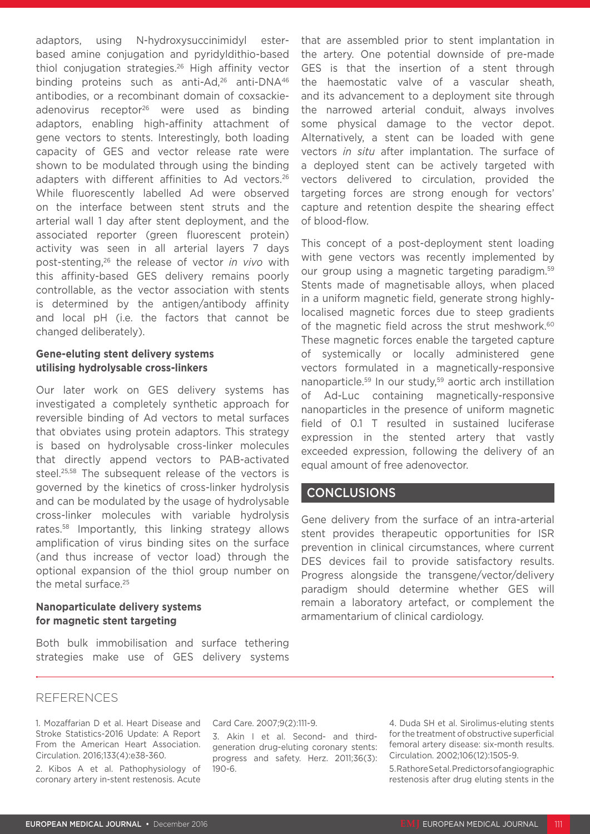adaptors, using N-hydroxysuccinimidyl esterbased amine conjugation and pyridyldithio-based thiol conjugation strategies.26 High affinity vector binding proteins such as anti-Ad,<sup>26</sup> anti-DNA<sup>46</sup> antibodies, or a recombinant domain of coxsackieadenovirus receptor<sup>26</sup> were used as binding adaptors, enabling high-affinity attachment of gene vectors to stents. Interestingly, both loading capacity of GES and vector release rate were shown to be modulated through using the binding adapters with different affinities to Ad vectors.<sup>26</sup> While fluorescently labelled Ad were observed on the interface between stent struts and the arterial wall 1 day after stent deployment, and the associated reporter (green fluorescent protein) activity was seen in all arterial layers 7 days post-stenting,26 the release of vector *in vivo* with this affinity-based GES delivery remains poorly controllable, as the vector association with stents is determined by the antigen/antibody affinity and local pH (i.e. the factors that cannot be changed deliberately).

#### **Gene-eluting stent delivery systems utilising hydrolysable cross-linkers**

Our later work on GES delivery systems has investigated a completely synthetic approach for reversible binding of Ad vectors to metal surfaces that obviates using protein adaptors. This strategy is based on hydrolysable cross-linker molecules that directly append vectors to PAB-activated steel.25,58 The subsequent release of the vectors is governed by the kinetics of cross-linker hydrolysis and can be modulated by the usage of hydrolysable cross-linker molecules with variable hydrolysis rates.58 Importantly, this linking strategy allows amplification of virus binding sites on the surface (and thus increase of vector load) through the optional expansion of the thiol group number on the metal surface.25

#### **Nanoparticulate delivery systems for magnetic stent targeting**

Both bulk immobilisation and surface tethering strategies make use of GES delivery systems that are assembled prior to stent implantation in the artery. One potential downside of pre-made GES is that the insertion of a stent through the haemostatic valve of a vascular sheath, and its advancement to a deployment site through the narrowed arterial conduit, always involves some physical damage to the vector depot. Alternatively, a stent can be loaded with gene vectors *in situ* after implantation. The surface of a deployed stent can be actively targeted with vectors delivered to circulation, provided the targeting forces are strong enough for vectors' capture and retention despite the shearing effect of blood-flow.

This concept of a post-deployment stent loading with gene vectors was recently implemented by our group using a magnetic targeting paradigm.59 Stents made of magnetisable alloys, when placed in a uniform magnetic field, generate strong highlylocalised magnetic forces due to steep gradients of the magnetic field across the strut meshwork.<sup>60</sup> These magnetic forces enable the targeted capture of systemically or locally administered gene vectors formulated in a magnetically-responsive nanoparticle.<sup>59</sup> In our study,<sup>59</sup> aortic arch instillation of Ad-Luc containing magnetically-responsive nanoparticles in the presence of uniform magnetic field of 0.1 T resulted in sustained luciferase expression in the stented artery that vastly exceeded expression, following the delivery of an equal amount of free adenovector.

#### CONCLUSIONS

Gene delivery from the surface of an intra-arterial stent provides therapeutic opportunities for ISR prevention in clinical circumstances, where current DES devices fail to provide satisfactory results. Progress alongside the transgene/vector/delivery paradigm should determine whether GES will remain a laboratory artefact, or complement the armamentarium of clinical cardiology.

#### **REFERENCES**

1. Mozaffarian D et al. Heart Disease and Stroke Statistics-2016 Update: A Report From the American Heart Association. Circulation. 2016;133(4):e38-360.

2. Kibos A et al. Pathophysiology of coronary artery in-stent restenosis. Acute

#### Card Care. 2007;9(2):111-9.

3. Akin I et al. Second- and thirdgeneration drug-eluting coronary stents: progress and safety. Herz. 2011;36(3): 190-6.

4. Duda SH et al. Sirolimus-eluting stents for the treatment of obstructive superficial femoral artery disease: six-month results. Circulation. 2002;106(12):1505-9.

5. Rathore S et al. Predictors of angiographic restenosis after drug eluting stents in the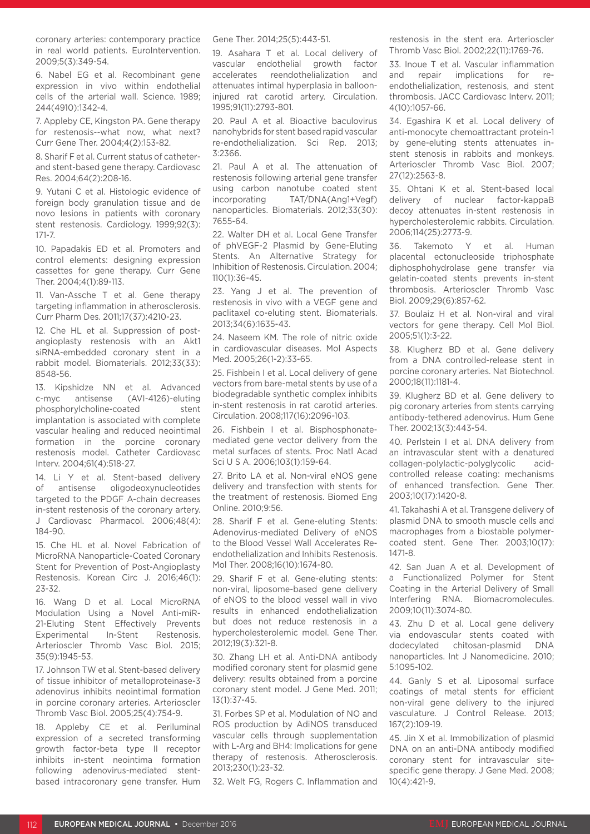coronary arteries: contemporary practice in real world patients. EuroIntervention. 2009;5(3):349-54.

6. Nabel EG et al. Recombinant gene expression in vivo within endothelial cells of the arterial wall. Science. 1989; 244(4910):1342-4.

7. Appleby CE, Kingston PA. Gene therapy for restenosis--what now, what next? Curr Gene Ther. 2004;4(2):153-82.

8. Sharif F et al. Current status of catheterand stent-based gene therapy. Cardiovasc Res. 2004;64(2):208-16.

9. Yutani C et al. Histologic evidence of foreign body granulation tissue and de novo lesions in patients with coronary stent restenosis. Cardiology. 1999;92(3): 171-7.

10. Papadakis ED et al. Promoters and control elements: designing expression cassettes for gene therapy. Curr Gene Ther. 2004;4(1):89-113.

11. Van-Assche T et al. Gene therapy targeting inflammation in atherosclerosis. Curr Pharm Des. 2011;17(37):4210-23.

12. Che HL et al. Suppression of postangioplasty restenosis with an Akt1 siRNA-embedded coronary stent in a rabbit model. Biomaterials. 2012;33(33): 8548-56.

13. Kipshidze NN et al. Advanced c-myc antisense (AVI-4126)-eluting phosphorylcholine-coated stent implantation is associated with complete vascular healing and reduced neointimal formation in the porcine coronary restenosis model. Catheter Cardiovasc Interv. 2004;61(4):518-27.

14. Li Y et al. Stent-based delivery of antisense oligodeoxynucleotides targeted to the PDGF A-chain decreases in-stent restenosis of the coronary artery. J Cardiovasc Pharmacol. 2006;48(4): 184-90.

15. Che HL et al. Novel Fabrication of MicroRNA Nanoparticle-Coated Coronary Stent for Prevention of Post-Angioplasty Restenosis. Korean Circ J. 2016;46(1): 23-32.

16. Wang D et al. Local MicroRNA Modulation Using a Novel Anti-miR-21-Eluting Stent Effectively Prevents<br>Experimental In-Stent Restenosis Experimental In-Stent Restenosis. Arterioscler Thromb Vasc Biol. 2015; 35(9):1945-53.

17. Johnson TW et al. Stent-based delivery of tissue inhibitor of metalloproteinase-3 adenovirus inhibits neointimal formation in porcine coronary arteries. Arterioscler Thromb Vasc Biol. 2005;25(4):754-9.

18. Appleby CE et al. Periluminal expression of a secreted transforming growth factor-beta type II receptor inhibits in-stent neointima formation following adenovirus-mediated stentbased intracoronary gene transfer. Hum

Gene Ther. 2014;25(5):443-51.

19. Asahara T et al. Local delivery of vascular endothelial growth factor accelerates reendothelialization and attenuates intimal hyperplasia in ballooninjured rat carotid artery. Circulation. 1995;91(11):2793-801.

20. Paul A et al. Bioactive baculovirus nanohybrids for stent based rapid vascular re-endothelialization. Sci Rep. 2013; 3:2366.

21. Paul A et al. The attenuation of restenosis following arterial gene transfer using carbon nanotube coated stent incorporating TAT/DNA(Ang1+Vegf) nanoparticles. Biomaterials. 2012;33(30): 7655-64.

22. Walter DH et al. Local Gene Transfer of phVEGF-2 Plasmid by Gene-Eluting Stents. An Alternative Strategy for Inhibition of Restenosis. Circulation. 2004; 110(1):36-45.

23. Yang J et al. The prevention of restenosis in vivo with a VEGF gene and paclitaxel co-eluting stent. Biomaterials. 2013;34(6):1635-43.

24. Naseem KM. The role of nitric oxide in cardiovascular diseases. Mol Aspects Med. 2005;26(1-2):33-65.

25. Fishbein I et al. Local delivery of gene vectors from bare-metal stents by use of a biodegradable synthetic complex inhibits in-stent restenosis in rat carotid arteries. Circulation. 2008;117(16):2096-103.

26. Fishbein I et al. Bisphosphonatemediated gene vector delivery from the metal surfaces of stents. Proc Natl Acad Sci U S A. 2006;103(1):159-64.

27. Brito LA et al. Non-viral eNOS gene delivery and transfection with stents for the treatment of restenosis. Biomed Eng Online. 2010;9:56.

28. Sharif F et al. Gene-eluting Stents: Adenovirus-mediated Delivery of eNOS to the Blood Vessel Wall Accelerates Reendothelialization and Inhibits Restenosis. Mol Ther. 2008;16(10):1674-80.

29. Sharif F et al. Gene-eluting stents: non-viral, liposome-based gene delivery of eNOS to the blood vessel wall in vivo results in enhanced endothelialization but does not reduce restenosis in a hypercholesterolemic model. Gene Ther. 2012;19(3):321-8.

30. Zhang LH et al. Anti-DNA antibody modified coronary stent for plasmid gene delivery: results obtained from a porcine coronary stent model. J Gene Med. 2011; 13(1):37-45.

31. Forbes SP et al. Modulation of NO and ROS production by AdiNOS transduced vascular cells through supplementation with L-Arg and BH4: Implications for gene therapy of restenosis. Atherosclerosis. 2013;230(1):23-32.

32. Welt FG, Rogers C. Inflammation and

restenosis in the stent era. Arterioscler Thromb Vasc Biol. 2002;22(11):1769-76.

33. Inoue T et al. Vascular inflammation and repair implications for reendothelialization, restenosis, and stent thrombosis. JACC Cardiovasc Interv. 2011; 4(10):1057-66.

34. Egashira K et al. Local delivery of anti-monocyte chemoattractant protein-1 by gene-eluting stents attenuates instent stenosis in rabbits and monkeys. Arterioscler Thromb Vasc Biol. 2007; 27(12):2563-8.

35. Ohtani K et al. Stent-based local delivery of nuclear factor-kappaB decoy attenuates in-stent restenosis in hypercholesterolemic rabbits. Circulation. 2006;114(25):2773-9.

36. Takemoto Y et al. Human placental ectonucleoside triphosphate diphosphohydrolase gene transfer via gelatin-coated stents prevents in-stent thrombosis. Arterioscler Thromb Vasc Biol. 2009;29(6):857-62.

37. Boulaiz H et al. Non-viral and viral vectors for gene therapy. Cell Mol Biol. 2005;51(1):3-22.

38. Klugherz BD et al. Gene delivery from a DNA controlled-release stent in porcine coronary arteries. Nat Biotechnol. 2000;18(11):1181-4.

39. Klugherz BD et al. Gene delivery to pig coronary arteries from stents carrying antibody-tethered adenovirus. Hum Gene Ther. 2002;13(3):443-54.

40. Perlstein I et al. DNA delivery from an intravascular stent with a denatured collagen-polylactic-polyglycolic acidcontrolled release coating: mechanisms of enhanced transfection. Gene Ther. 2003;10(17):1420-8.

41. Takahashi A et al. Transgene delivery of plasmid DNA to smooth muscle cells and macrophages from a biostable polymercoated stent. Gene Ther. 2003;10(17): 1471-8.

42. San Juan A et al. Development of a Functionalized Polymer for Stent Coating in the Arterial Delivery of Small Interfering RNA. Biomacromolecules. 2009;10(11):3074-80.

43. Zhu D et al. Local gene delivery via endovascular stents coated with dodecylated chitosan-plasmid DNA nanoparticles. Int J Nanomedicine. 2010; 5:1095-102.

44. Ganly S et al. Liposomal surface coatings of metal stents for efficient non-viral gene delivery to the injured vasculature. J Control Release. 2013; 167(2):109-19.

45. Jin X et al. Immobilization of plasmid DNA on an anti-DNA antibody modified coronary stent for intravascular sitespecific gene therapy. J Gene Med. 2008; 10(4):421-9.